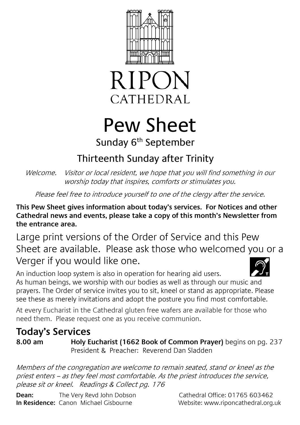



# Pew Sheet Sunday 6<sup>th</sup> September

## Thirteenth Sunday after Trinity

Welcome. Visitor or local resident, we hope that you will find something in our worship today that inspires, comforts or stimulates you.

Please feel free to introduce yourself to one of the clergy after the service.

**This Pew Sheet gives information about today's services. For Notices and other Cathedral news and events, please take a copy of this month's Newsletter from the entrance area.** 

Large print versions of the Order of Service and this Pew Sheet are available. Please ask those who welcomed you or a Verger if you would like one.

An induction loop system is also in operation for hearing aid users. As human beings, we worship with our bodies as well as through our music and prayers. The Order of service invites you to sit, kneel or stand as appropriate. Please see these as merely invitations and adopt the posture you find most comfortable.

At every Eucharist in the Cathedral gluten free wafers are available for those who need them. Please request one as you receive communion.

## **Today's Services**

**8.00 am Holy Eucharist (1662 Book of Common Prayer)** begins on pg. 237 President & Preacher: Reverend Dan Sladden

Members of the congregation are welcome to remain seated, stand or kneel as the priest enters – as they feel most comfortable. As the priest introduces the service, please sit or kneel. Readings & Collect pg. 176

**Dean:** The Very Revd John Dobson Cathedral Office: 01765 603462 **In Residence:** Canon Michael Gisbourne **Website:** www.riponcathedral.org.uk